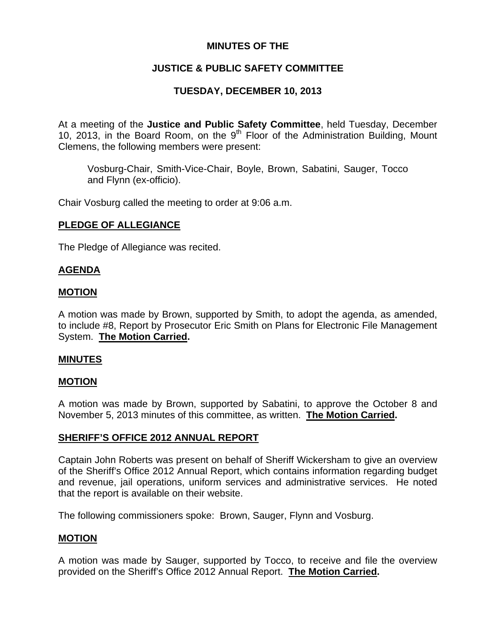# **MINUTES OF THE**

# **JUSTICE & PUBLIC SAFETY COMMITTEE**

# **TUESDAY, DECEMBER 10, 2013**

At a meeting of the **Justice and Public Safety Committee**, held Tuesday, December 10, 2013, in the Board Room, on the  $9<sup>th</sup>$  Floor of the Administration Building, Mount Clemens, the following members were present:

Vosburg-Chair, Smith-Vice-Chair, Boyle, Brown, Sabatini, Sauger, Tocco and Flynn (ex-officio).

Chair Vosburg called the meeting to order at 9:06 a.m.

### **PLEDGE OF ALLEGIANCE**

The Pledge of Allegiance was recited.

### **AGENDA**

### **MOTION**

A motion was made by Brown, supported by Smith, to adopt the agenda, as amended, to include #8, Report by Prosecutor Eric Smith on Plans for Electronic File Management System. **The Motion Carried.** 

#### **MINUTES**

## **MOTION**

A motion was made by Brown, supported by Sabatini, to approve the October 8 and November 5, 2013 minutes of this committee, as written. **The Motion Carried.** 

## **SHERIFF'S OFFICE 2012 ANNUAL REPORT**

Captain John Roberts was present on behalf of Sheriff Wickersham to give an overview of the Sheriff's Office 2012 Annual Report, which contains information regarding budget and revenue, jail operations, uniform services and administrative services. He noted that the report is available on their website.

The following commissioners spoke: Brown, Sauger, Flynn and Vosburg.

## **MOTION**

A motion was made by Sauger, supported by Tocco, to receive and file the overview provided on the Sheriff's Office 2012 Annual Report. **The Motion Carried.**